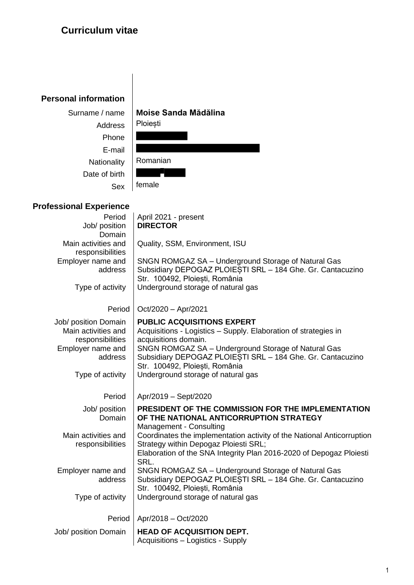## **Curriculum vitae**

## **Personal information**

| Surname / name | Moise Sanda Mădălina |  |  |  |
|----------------|----------------------|--|--|--|
| Address        | Ploiești             |  |  |  |
| Phone          |                      |  |  |  |
| E-mail         |                      |  |  |  |
| Nationality    | Romanian             |  |  |  |
| Date of birth  |                      |  |  |  |
| Sex            | female               |  |  |  |

## **Professional Experience**

| Period<br>Job/ position               | April 2021 - present<br><b>DIRECTOR</b>                                                                           |
|---------------------------------------|-------------------------------------------------------------------------------------------------------------------|
| Domain                                |                                                                                                                   |
| Main activities and                   | Quality, SSM, Environment, ISU                                                                                    |
| responsibilities<br>Employer name and | SNGN ROMGAZ SA - Underground Storage of Natural Gas                                                               |
| address                               | Subsidiary DEPOGAZ PLOIEȘTI SRL - 184 Ghe. Gr. Cantacuzino                                                        |
|                                       | Str. 100492, Ploiești, România                                                                                    |
| Type of activity                      | Underground storage of natural gas                                                                                |
| Period                                | $Oct/2020 - Apr/2021$                                                                                             |
| Job/ position Domain                  | <b>PUBLIC ACQUISITIONS EXPERT</b>                                                                                 |
| Main activities and                   | Acquisitions - Logistics - Supply. Elaboration of strategies in                                                   |
| responsibilities                      | acquisitions domain.                                                                                              |
| Employer name and<br>address          | SNGN ROMGAZ SA - Underground Storage of Natural Gas<br>Subsidiary DEPOGAZ PLOIESTI SRL - 184 Ghe. Gr. Cantacuzino |
|                                       | Str. 100492, Ploiesti, România                                                                                    |
| Type of activity                      | Underground storage of natural gas                                                                                |
|                                       |                                                                                                                   |
|                                       |                                                                                                                   |
| Period                                | Apr/2019 - Sept/2020                                                                                              |
| Job/ position                         | PRESIDENT OF THE COMMISSION FOR THE IMPLEMENTATION                                                                |
| Domain                                | OF THE NATIONAL ANTICORRUPTION STRATEGY                                                                           |
| Main activities and                   | Management - Consulting<br>Coordinates the implementation activity of the National Anticorruption                 |
| responsibilities                      | Strategy within Depogaz Ploiesti SRL;                                                                             |
|                                       | Elaboration of the SNA Integrity Plan 2016-2020 of Depogaz Ploiesti                                               |
| Employer name and                     | SRL.                                                                                                              |
| address                               | SNGN ROMGAZ SA - Underground Storage of Natural Gas<br>Subsidiary DEPOGAZ PLOIESTI SRL - 184 Ghe. Gr. Cantacuzino |
|                                       | Str. 100492, Ploiesti, România                                                                                    |
| Type of activity                      | Underground storage of natural gas                                                                                |
| Period                                | Apr/2018 - Oct/2020                                                                                               |
| Job/ position Domain                  | <b>HEAD OF ACQUISITION DEPT.</b>                                                                                  |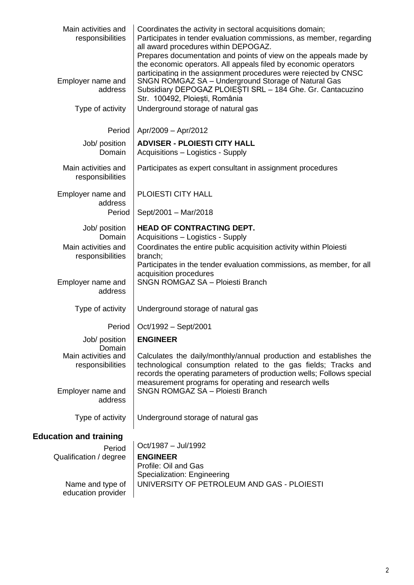| Main activities and<br>responsibilities | Coordinates the activity in sectoral acquisitions domain;<br>Participates in tender evaluation commissions, as member, regarding<br>all award procedures within DEPOGAZ.<br>Prepares documentation and points of view on the appeals made by<br>the economic operators. All appeals filed by economic operators |  |  |  |  |  |
|-----------------------------------------|-----------------------------------------------------------------------------------------------------------------------------------------------------------------------------------------------------------------------------------------------------------------------------------------------------------------|--|--|--|--|--|
| Employer name and<br>address            | participating in the assignment procedures were rejected by CNSC<br>SNGN ROMGAZ SA - Underground Storage of Natural Gas<br>Subsidiary DEPOGAZ PLOIESTI SRL - 184 Ghe. Gr. Cantacuzino<br>Str. 100492, Ploiești, România                                                                                         |  |  |  |  |  |
| Type of activity                        | Underground storage of natural gas                                                                                                                                                                                                                                                                              |  |  |  |  |  |
| Period                                  | Apr/2009 - Apr/2012                                                                                                                                                                                                                                                                                             |  |  |  |  |  |
| Job/ position<br>Domain                 | <b>ADVISER - PLOIESTI CITY HALL</b><br>Acquisitions - Logistics - Supply                                                                                                                                                                                                                                        |  |  |  |  |  |
| Main activities and<br>responsibilities | Participates as expert consultant in assignment procedures                                                                                                                                                                                                                                                      |  |  |  |  |  |
| Employer name and<br>address            | PLOIESTI CITY HALL                                                                                                                                                                                                                                                                                              |  |  |  |  |  |
| Period                                  | Sept/2001 - Mar/2018                                                                                                                                                                                                                                                                                            |  |  |  |  |  |
| Job/ position<br>Domain                 | <b>HEAD OF CONTRACTING DEPT.</b><br>Acquisitions - Logistics - Supply                                                                                                                                                                                                                                           |  |  |  |  |  |
| Main activities and<br>responsibilities | Coordinates the entire public acquisition activity within Ploiesti<br>branch;<br>Participates in the tender evaluation commissions, as member, for all                                                                                                                                                          |  |  |  |  |  |
| Employer name and<br>address            | acquisition procedures<br><b>SNGN ROMGAZ SA - Ploiesti Branch</b>                                                                                                                                                                                                                                               |  |  |  |  |  |
| Type of activity                        | Underground storage of natural gas                                                                                                                                                                                                                                                                              |  |  |  |  |  |
| Period                                  | Oct/1992 - Sept/2001                                                                                                                                                                                                                                                                                            |  |  |  |  |  |
| Job/ position<br>Domain                 | <b>ENGINEER</b>                                                                                                                                                                                                                                                                                                 |  |  |  |  |  |
| Main activities and<br>responsibilities | Calculates the daily/monthly/annual production and establishes the<br>technological consumption related to the gas fields; Tracks and<br>records the operating parameters of production wells; Follows special<br>measurement programs for operating and research wells                                         |  |  |  |  |  |
| Employer name and<br>address            | <b>SNGN ROMGAZ SA - Ploiesti Branch</b>                                                                                                                                                                                                                                                                         |  |  |  |  |  |
| Type of activity                        | Underground storage of natural gas                                                                                                                                                                                                                                                                              |  |  |  |  |  |
| <b>Education and training</b>           |                                                                                                                                                                                                                                                                                                                 |  |  |  |  |  |
| Period<br>Qualification / degree        | Oct/1987 - Jul/1992<br><b>ENGINEER</b>                                                                                                                                                                                                                                                                          |  |  |  |  |  |
|                                         | Profile: Oil and Gas<br>Specialization: Engineering                                                                                                                                                                                                                                                             |  |  |  |  |  |
| Name and type of<br>education provider  | UNIVERSITY OF PETROLEUM AND GAS - PLOIESTI                                                                                                                                                                                                                                                                      |  |  |  |  |  |